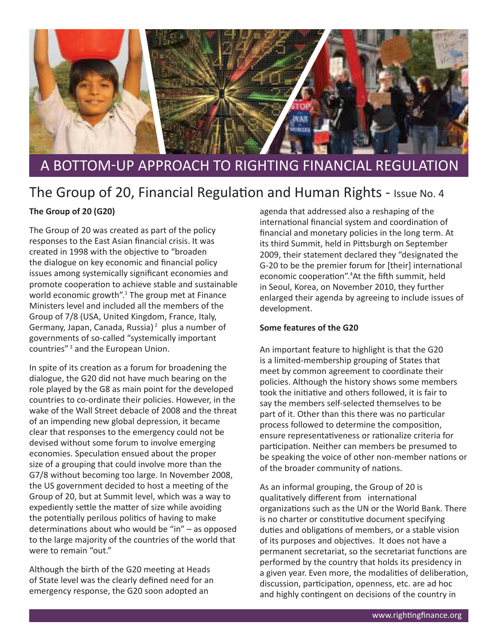

# A BOTTOM-UP APPROACH TO RIGHTING FINANCIAL REGULATION

# The Group of 20, Financial Regulation and Human Rights - Issue No. 4

## The Group of 20 (G20)

The Group of 20 was created as part of the policy responses to the East Asian financial crisis. It was created in 1998 with the objective to "broaden the dialogue on key economic and financial policy issues among systemically significant economies and promote cooperation to achieve stable and sustainable world economic growth".<sup>1</sup> The group met at Finance Ministers level and included all the members of the Group of 7/8 (USA, United Kingdom, France, Italy, Germany, Japan, Canada, Russia)<sup>2</sup> plus a number of governments of so-called "systemically important countries"<sup>3</sup> and the European Union.

In spite of its creation as a forum for broadening the dialogue, the G20 did not have much bearing on the role played by the G8 as main point for the developed countries to co-ordinate their policies. However, in the wake of the Wall Street debacle of 2008 and the threat of an impending new global depression, it became clear that responses to the emergency could not be devised without some forum to involve emerging economies. Speculation ensued about the proper size of a grouping that could involve more than the G7/8 without becoming too large. In November 2008, the US government decided to host a meeting of the Group of 20, but at Summit level, which was a way to expediently settle the matter of size while avoiding the potentially perilous politics of having to make determinations about who would be "in" - as opposed to the large majority of the countries of the world that were to remain "out."

Although the birth of the G20 meeting at Heads of State level was the clearly defined need for an emergency response, the G20 soon adopted an

agenda that addressed also a reshaping of the international financial system and coordination of financial and monetary policies in the long term. At its third Summit, held in Pittsburgh on September 2009, their statement declared they "designated the G-20 to be the premier forum for [their] international economic cooperation".<sup>4</sup>At the fifth summit, held in Seoul, Korea, on November 2010, they further enlarged their agenda by agreeing to include issues of development.

#### Some features of the G20

An important feature to highlight is that the G20 is a limited-membership grouping of States that meet by common agreement to coordinate their policies. Although the history shows some members took the initiative and others followed, it is fair to say the members self-selected themselves to be part of it. Other than this there was no particular process followed to determine the composition, ensure representativeness or rationalize criteria for participation. Neither can members be presumed to be speaking the voice of other non-member nations or of the broader community of nations.

As an informal grouping, the Group of 20 is qualitatively different from international organizations such as the UN or the World Bank. There is no charter or constitutive document specifying duties and obligations of members, or a stable vision of its purposes and objectives. It does not have a permanent secretariat, so the secretariat functions are performed by the country that holds its presidency in a given year. Even more, the modalities of deliberation, discussion, participation, openness, etc. are ad hoc and highly contingent on decisions of the country in